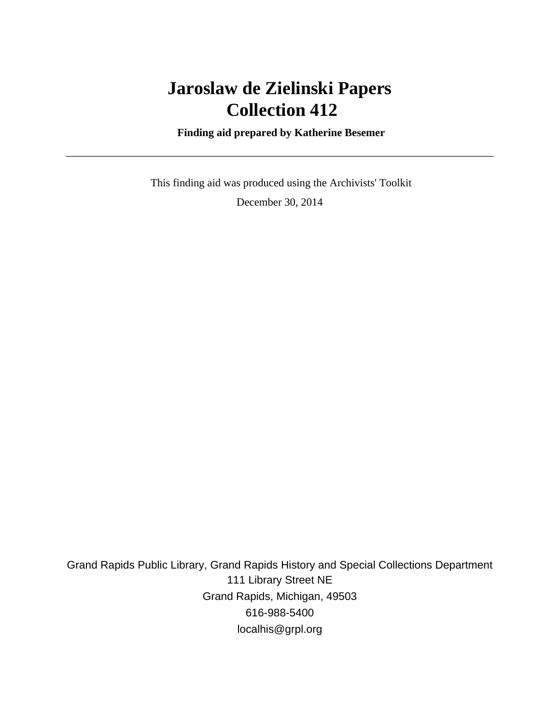# **Jaroslaw de Zielinski Papers Collection 412**

 **Finding aid prepared by Katherine Besemer**

 This finding aid was produced using the Archivists' Toolkit December 30, 2014

Grand Rapids Public Library, Grand Rapids History and Special Collections Department 111 Library Street NE Grand Rapids, Michigan, 49503 616-988-5400 localhis@grpl.org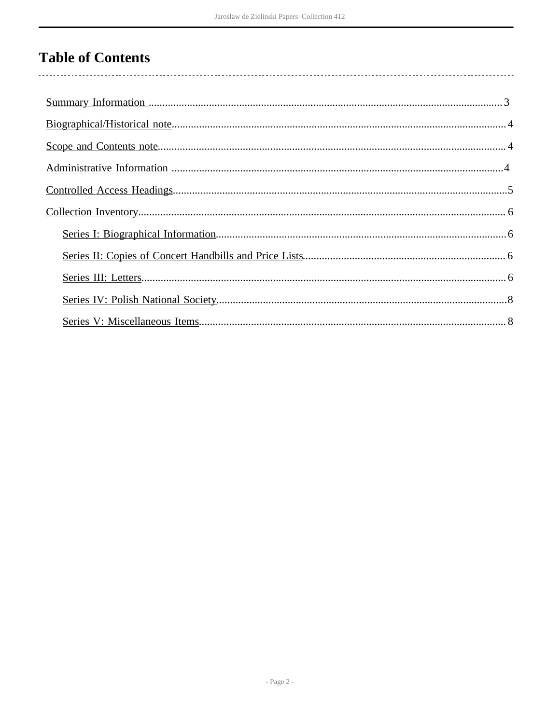## **Table of Contents**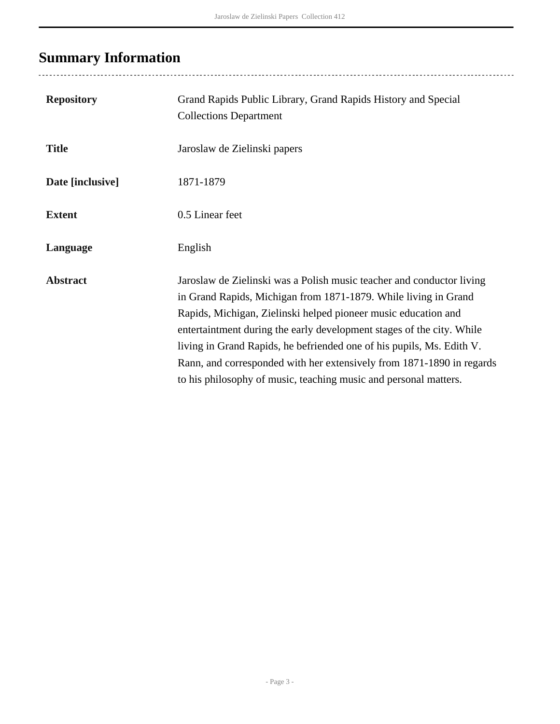# <span id="page-2-0"></span>**Summary Information**

| <b>Repository</b> | Grand Rapids Public Library, Grand Rapids History and Special<br><b>Collections Department</b>                                                                                                                                                                                                                                                                                                                                                                                                            |
|-------------------|-----------------------------------------------------------------------------------------------------------------------------------------------------------------------------------------------------------------------------------------------------------------------------------------------------------------------------------------------------------------------------------------------------------------------------------------------------------------------------------------------------------|
| <b>Title</b>      | Jaroslaw de Zielinski papers                                                                                                                                                                                                                                                                                                                                                                                                                                                                              |
| Date [inclusive]  | 1871-1879                                                                                                                                                                                                                                                                                                                                                                                                                                                                                                 |
| <b>Extent</b>     | 0.5 Linear feet                                                                                                                                                                                                                                                                                                                                                                                                                                                                                           |
| Language          | English                                                                                                                                                                                                                                                                                                                                                                                                                                                                                                   |
| <b>Abstract</b>   | Jaroslaw de Zielinski was a Polish music teacher and conductor living<br>in Grand Rapids, Michigan from 1871-1879. While living in Grand<br>Rapids, Michigan, Zielinski helped pioneer music education and<br>entertaintment during the early development stages of the city. While<br>living in Grand Rapids, he befriended one of his pupils, Ms. Edith V.<br>Rann, and corresponded with her extensively from 1871-1890 in regards<br>to his philosophy of music, teaching music and personal matters. |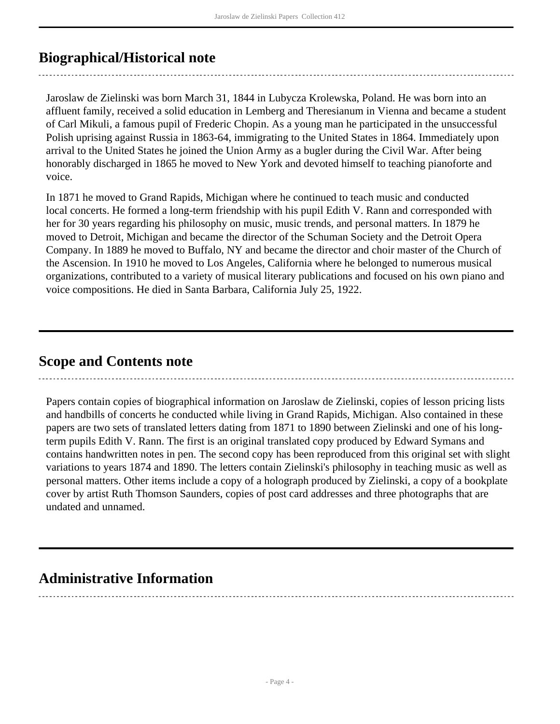### <span id="page-3-0"></span>**Biographical/Historical note**

Jaroslaw de Zielinski was born March 31, 1844 in Lubycza Krolewska, Poland. He was born into an affluent family, received a solid education in Lemberg and Theresianum in Vienna and became a student of Carl Mikuli, a famous pupil of Frederic Chopin. As a young man he participated in the unsuccessful Polish uprising against Russia in 1863-64, immigrating to the United States in 1864. Immediately upon arrival to the United States he joined the Union Army as a bugler during the Civil War. After being honorably discharged in 1865 he moved to New York and devoted himself to teaching pianoforte and voice.

In 1871 he moved to Grand Rapids, Michigan where he continued to teach music and conducted local concerts. He formed a long-term friendship with his pupil Edith V. Rann and corresponded with her for 30 years regarding his philosophy on music, music trends, and personal matters. In 1879 he moved to Detroit, Michigan and became the director of the Schuman Society and the Detroit Opera Company. In 1889 he moved to Buffalo, NY and became the director and choir master of the Church of the Ascension. In 1910 he moved to Los Angeles, California where he belonged to numerous musical organizations, contributed to a variety of musical literary publications and focused on his own piano and voice compositions. He died in Santa Barbara, California July 25, 1922.

### <span id="page-3-1"></span>**Scope and Contents note**

Papers contain copies of biographical information on Jaroslaw de Zielinski, copies of lesson pricing lists and handbills of concerts he conducted while living in Grand Rapids, Michigan. Also contained in these papers are two sets of translated letters dating from 1871 to 1890 between Zielinski and one of his longterm pupils Edith V. Rann. The first is an original translated copy produced by Edward Symans and contains handwritten notes in pen. The second copy has been reproduced from this original set with slight variations to years 1874 and 1890. The letters contain Zielinski's philosophy in teaching music as well as personal matters. Other items include a copy of a holograph produced by Zielinski, a copy of a bookplate cover by artist Ruth Thomson Saunders, copies of post card addresses and three photographs that are undated and unnamed.

### <span id="page-3-2"></span>**Administrative Information**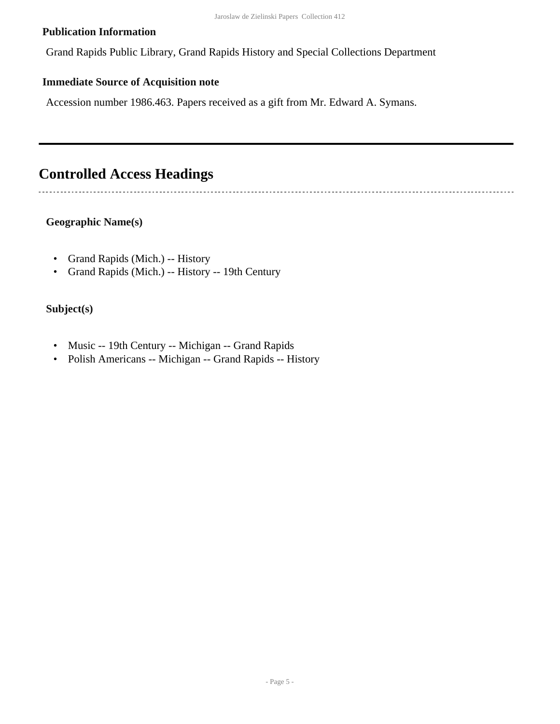#### **Publication Information**

Grand Rapids Public Library, Grand Rapids History and Special Collections Department

#### **Immediate Source of Acquisition note**

Accession number 1986.463. Papers received as a gift from Mr. Edward A. Symans.

### <span id="page-4-0"></span>**Controlled Access Headings**

#### **Geographic Name(s)**

- Grand Rapids (Mich.) -- History
- Grand Rapids (Mich.) -- History -- 19th Century

#### **Subject(s)**

- Music -- 19th Century -- Michigan -- Grand Rapids
- Polish Americans -- Michigan -- Grand Rapids -- History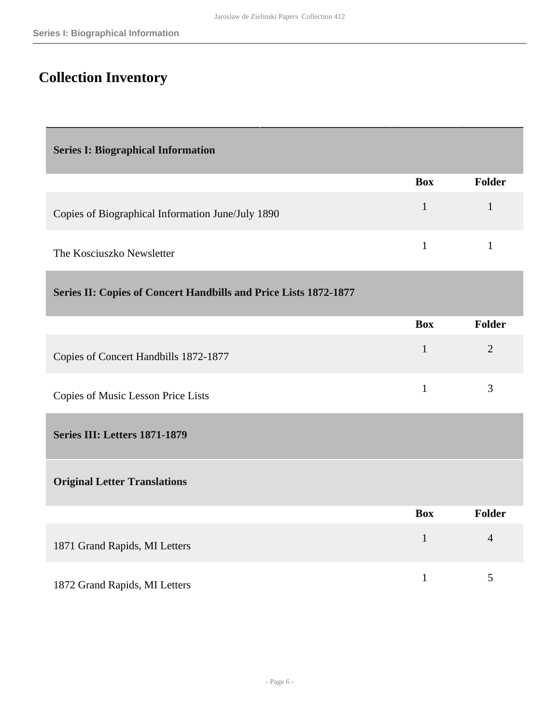## <span id="page-5-0"></span>**Collection Inventory**

<span id="page-5-3"></span><span id="page-5-2"></span><span id="page-5-1"></span>

| <b>Series I: Biographical Information</b>                        |              |                |
|------------------------------------------------------------------|--------------|----------------|
|                                                                  | <b>Box</b>   | Folder         |
| Copies of Biographical Information June/July 1890                | $\mathbf{1}$ | $\mathbf{1}$   |
| The Kosciuszko Newsletter                                        | $\mathbf{1}$ | $\mathbf{1}$   |
| Series II: Copies of Concert Handbills and Price Lists 1872-1877 |              |                |
|                                                                  | <b>Box</b>   | Folder         |
| Copies of Concert Handbills 1872-1877                            | $\mathbf{1}$ | $\overline{2}$ |
| Copies of Music Lesson Price Lists                               | $\mathbf{1}$ | 3              |
| Series III: Letters 1871-1879                                    |              |                |
| <b>Original Letter Translations</b>                              |              |                |
|                                                                  | <b>Box</b>   | <b>Folder</b>  |
| 1871 Grand Rapids, MI Letters                                    | $\mathbf{1}$ | $\overline{4}$ |
| 1872 Grand Rapids, MI Letters                                    | $\mathbf{1}$ | 5              |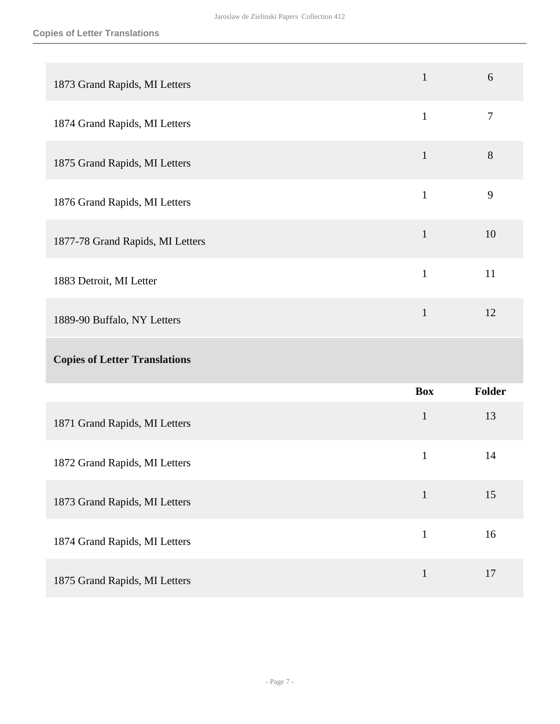| 1873 Grand Rapids, MI Letters        | $\mathbf{1}$ | 6                |
|--------------------------------------|--------------|------------------|
| 1874 Grand Rapids, MI Letters        | $\mathbf{1}$ | $\boldsymbol{7}$ |
| 1875 Grand Rapids, MI Letters        | $\mathbf{1}$ | $8\,$            |
| 1876 Grand Rapids, MI Letters        | $\mathbf{1}$ | 9                |
| 1877-78 Grand Rapids, MI Letters     | $\mathbf{1}$ | 10               |
| 1883 Detroit, MI Letter              | $\mathbf{1}$ | 11               |
| 1889-90 Buffalo, NY Letters          | $\mathbf{1}$ | 12               |
|                                      |              |                  |
| <b>Copies of Letter Translations</b> |              |                  |
|                                      | <b>Box</b>   | <b>Folder</b>    |
| 1871 Grand Rapids, MI Letters        | $\mathbf{1}$ | 13               |
| 1872 Grand Rapids, MI Letters        | $\mathbf{1}$ | 14               |
| 1873 Grand Rapids, MI Letters        | $\mathbf 1$  | 15               |
| 1874 Grand Rapids, MI Letters        | $\mathbf{1}$ | 16               |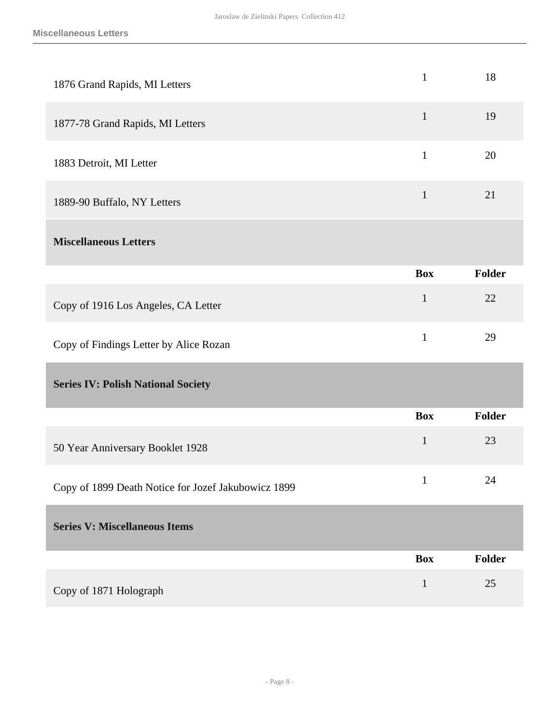<span id="page-7-1"></span><span id="page-7-0"></span>

| 1876 Grand Rapids, MI Letters                       | $\mathbf{1}$ | 18     |
|-----------------------------------------------------|--------------|--------|
| 1877-78 Grand Rapids, MI Letters                    | $\mathbf{1}$ | 19     |
| 1883 Detroit, MI Letter                             | $\mathbf{1}$ | 20     |
| 1889-90 Buffalo, NY Letters                         | $\mathbf{1}$ | 21     |
| <b>Miscellaneous Letters</b>                        |              |        |
|                                                     | <b>Box</b>   | Folder |
| Copy of 1916 Los Angeles, CA Letter                 | $\mathbf{1}$ | 22     |
| Copy of Findings Letter by Alice Rozan              | $\mathbf{1}$ | 29     |
| <b>Series IV: Polish National Society</b>           |              |        |
|                                                     | <b>Box</b>   | Folder |
| 50 Year Anniversary Booklet 1928                    | $\mathbf{1}$ | 23     |
| Copy of 1899 Death Notice for Jozef Jakubowicz 1899 | $\mathbf{1}$ | 24     |
| <b>Series V: Miscellaneous Items</b>                |              |        |
|                                                     |              |        |
|                                                     | <b>Box</b>   | Folder |